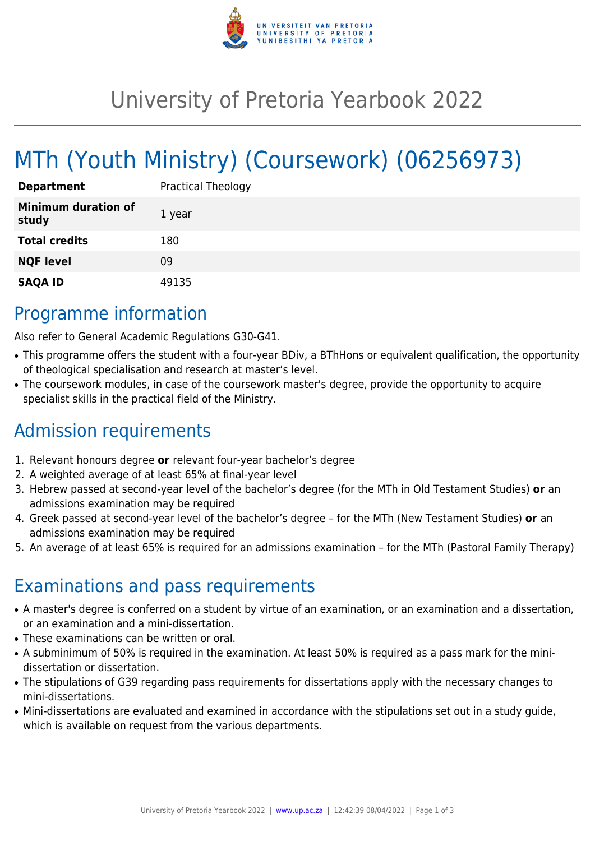

## University of Pretoria Yearbook 2022

# MTh (Youth Ministry) (Coursework) (06256973)

| <b>Department</b>                   | <b>Practical Theology</b> |
|-------------------------------------|---------------------------|
| <b>Minimum duration of</b><br>study | 1 year                    |
| <b>Total credits</b>                | 180                       |
| <b>NQF level</b>                    | 09                        |
| <b>SAQA ID</b>                      | 49135                     |

### Programme information

Also refer to General Academic Regulations G30-G41.

- This programme offers the student with a four-year BDiv, a BThHons or equivalent qualification, the opportunity of theological specialisation and research at master's level.
- The coursework modules, in case of the coursework master's degree, provide the opportunity to acquire specialist skills in the practical field of the Ministry.

### Admission requirements

- 1. Relevant honours degree **or** relevant four-year bachelor's degree
- 2. A weighted average of at least 65% at final-year level
- 3. Hebrew passed at second-year level of the bachelor's degree (for the MTh in Old Testament Studies) **or** an admissions examination may be required
- 4. Greek passed at second-year level of the bachelor's degree for the MTh (New Testament Studies) **or** an admissions examination may be required
- 5. An average of at least 65% is required for an admissions examination for the MTh (Pastoral Family Therapy)

### Examinations and pass requirements

- A master's degree is conferred on a student by virtue of an examination, or an examination and a dissertation, or an examination and a mini-dissertation.
- These examinations can be written or oral.
- A subminimum of 50% is required in the examination. At least 50% is required as a pass mark for the minidissertation or dissertation.
- The stipulations of G39 regarding pass requirements for dissertations apply with the necessary changes to mini-dissertations.
- Mini-dissertations are evaluated and examined in accordance with the stipulations set out in a study guide, which is available on request from the various departments.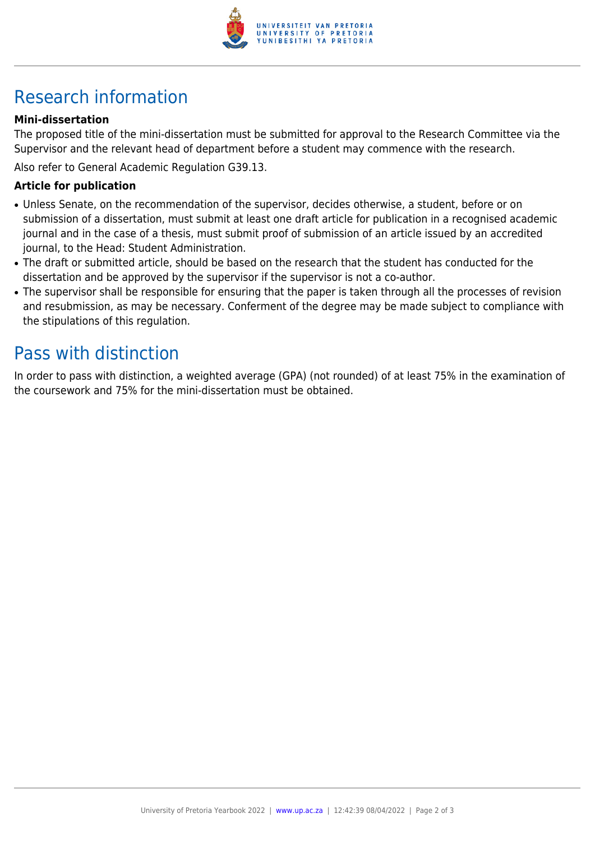

### Research information

#### **Mini-dissertation**

The proposed title of the mini-dissertation must be submitted for approval to the Research Committee via the Supervisor and the relevant head of department before a student may commence with the research.

Also refer to General Academic Regulation G39.13.

#### **Article for publication**

- Unless Senate, on the recommendation of the supervisor, decides otherwise, a student, before or on submission of a dissertation, must submit at least one draft article for publication in a recognised academic journal and in the case of a thesis, must submit proof of submission of an article issued by an accredited journal, to the Head: Student Administration.
- The draft or submitted article, should be based on the research that the student has conducted for the dissertation and be approved by the supervisor if the supervisor is not a co-author.
- The supervisor shall be responsible for ensuring that the paper is taken through all the processes of revision and resubmission, as may be necessary. Conferment of the degree may be made subject to compliance with the stipulations of this regulation.

### Pass with distinction

In order to pass with distinction, a weighted average (GPA) (not rounded) of at least 75% in the examination of the coursework and 75% for the mini-dissertation must be obtained.